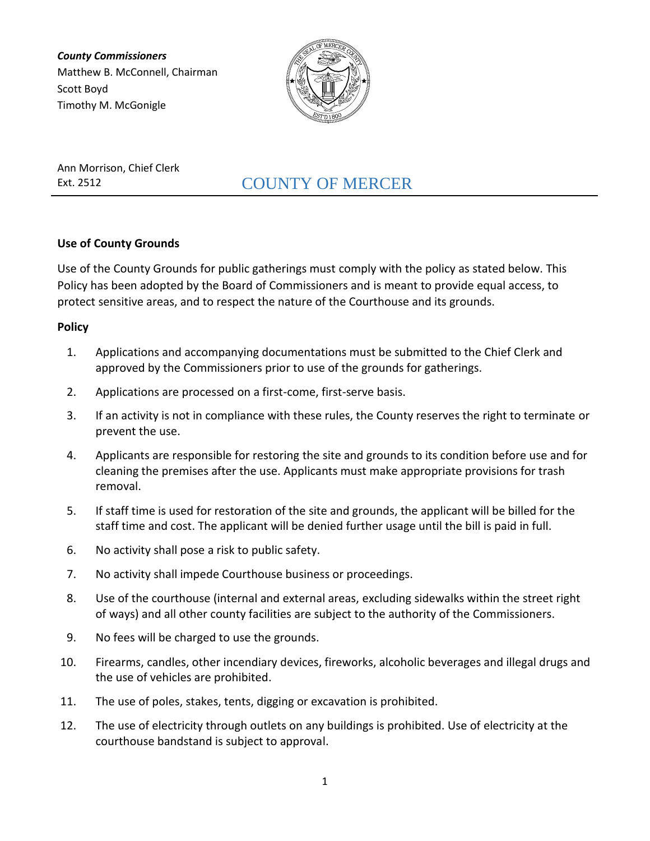*County Commissioners* Matthew B. McConnell, Chairman Scott Boyd Timothy M. McGonigle



Ann Morrison, Chief Clerk

# Ext. 2512 COUNTY OF MERCER

## **Use of County Grounds**

Use of the County Grounds for public gatherings must comply with the policy as stated below. This Policy has been adopted by the Board of Commissioners and is meant to provide equal access, to protect sensitive areas, and to respect the nature of the Courthouse and its grounds.

### **Policy**

- 1. Applications and accompanying documentations must be submitted to the Chief Clerk and approved by the Commissioners prior to use of the grounds for gatherings.
- 2. Applications are processed on a first-come, first-serve basis.
- 3. If an activity is not in compliance with these rules, the County reserves the right to terminate or prevent the use.
- 4. Applicants are responsible for restoring the site and grounds to its condition before use and for cleaning the premises after the use. Applicants must make appropriate provisions for trash removal.
- 5. If staff time is used for restoration of the site and grounds, the applicant will be billed for the staff time and cost. The applicant will be denied further usage until the bill is paid in full.
- 6. No activity shall pose a risk to public safety.
- 7. No activity shall impede Courthouse business or proceedings.
- 8. Use of the courthouse (internal and external areas, excluding sidewalks within the street right of ways) and all other county facilities are subject to the authority of the Commissioners.
- 9. No fees will be charged to use the grounds.
- 10. Firearms, candles, other incendiary devices, fireworks, alcoholic beverages and illegal drugs and the use of vehicles are prohibited.
- 11. The use of poles, stakes, tents, digging or excavation is prohibited.
- 12. The use of electricity through outlets on any buildings is prohibited. Use of electricity at the courthouse bandstand is subject to approval.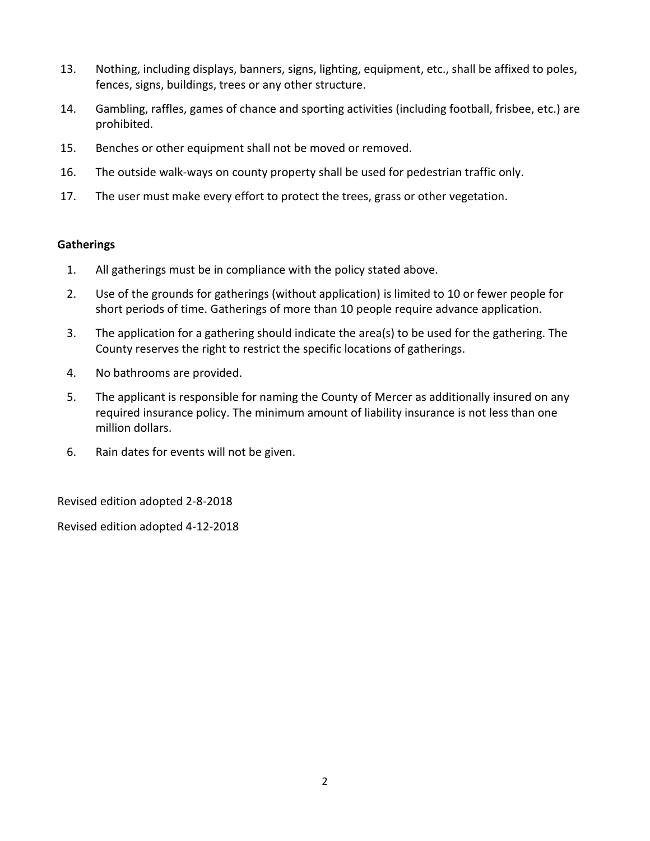- 13. Nothing, including displays, banners, signs, lighting, equipment, etc., shall be affixed to poles, fences, signs, buildings, trees or any other structure.
- 14. Gambling, raffles, games of chance and sporting activities (including football, frisbee, etc.) are prohibited.
- 15. Benches or other equipment shall not be moved or removed.
- 16. The outside walk-ways on county property shall be used for pedestrian traffic only.
- 17. The user must make every effort to protect the trees, grass or other vegetation.

#### **Gatherings**

- 1. All gatherings must be in compliance with the policy stated above.
- 2. Use of the grounds for gatherings (without application) is limited to 10 or fewer people for short periods of time. Gatherings of more than 10 people require advance application.
- 3. The application for a gathering should indicate the area(s) to be used for the gathering. The County reserves the right to restrict the specific locations of gatherings.
- 4. No bathrooms are provided.
- 5. The applicant is responsible for naming the County of Mercer as additionally insured on any required insurance policy. The minimum amount of liability insurance is not less than one million dollars.
- 6. Rain dates for events will not be given.

Revised edition adopted 2-8-2018

Revised edition adopted 4-12-2018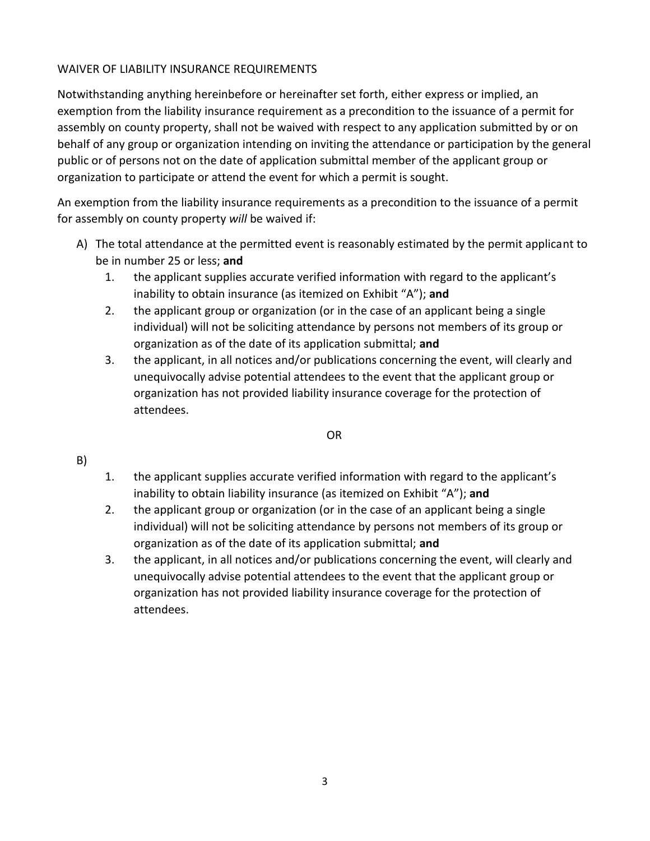## WAIVER OF LIABILITY INSURANCE REQUIREMENTS

Notwithstanding anything hereinbefore or hereinafter set forth, either express or implied, an exemption from the liability insurance requirement as a precondition to the issuance of a permit for assembly on county property, shall not be waived with respect to any application submitted by or on behalf of any group or organization intending on inviting the attendance or participation by the general public or of persons not on the date of application submittal member of the applicant group or organization to participate or attend the event for which a permit is sought.

An exemption from the liability insurance requirements as a precondition to the issuance of a permit for assembly on county property *will* be waived if:

- A) The total attendance at the permitted event is reasonably estimated by the permit applicant to be in number 25 or less; **and**
	- 1. the applicant supplies accurate verified information with regard to the applicant's inability to obtain insurance (as itemized on Exhibit "A"); **and**
	- 2. the applicant group or organization (or in the case of an applicant being a single individual) will not be soliciting attendance by persons not members of its group or organization as of the date of its application submittal; **and**
	- 3. the applicant, in all notices and/or publications concerning the event, will clearly and unequivocally advise potential attendees to the event that the applicant group or organization has not provided liability insurance coverage for the protection of attendees.

#### OR

#### B)

- 1. the applicant supplies accurate verified information with regard to the applicant's inability to obtain liability insurance (as itemized on Exhibit "A"); **and**
- 2. the applicant group or organization (or in the case of an applicant being a single individual) will not be soliciting attendance by persons not members of its group or organization as of the date of its application submittal; **and**
- 3. the applicant, in all notices and/or publications concerning the event, will clearly and unequivocally advise potential attendees to the event that the applicant group or organization has not provided liability insurance coverage for the protection of attendees.